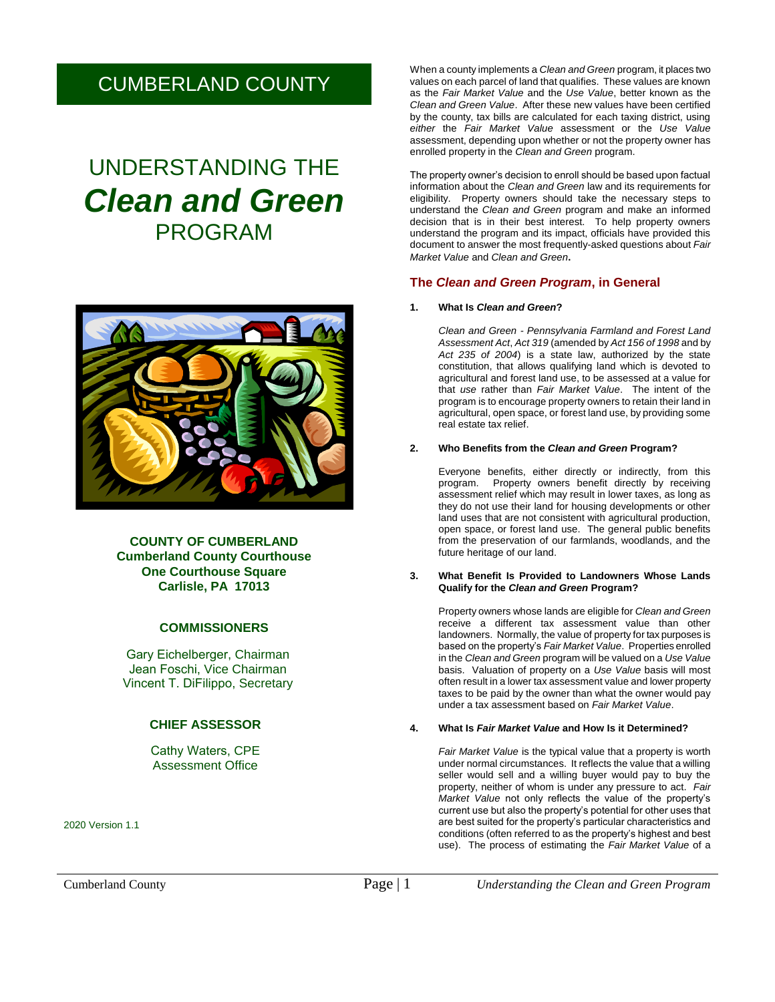# CUMBERLAND COUNTY

# UNDERSTANDING THE *Clean and Green*  PROGRAM



**COUNTY OF CUMBERLAND Cumberland County Courthouse One Courthouse Square Carlisle, PA 17013**

# **COMMISSIONERS**

Gary Eichelberger, Chairman Jean Foschi, Vice Chairman Vincent T. DiFilippo, Secretary

# **CHIEF ASSESSOR**

Cathy Waters, CPE Assessment Office

2020 Version 1.1

When a county implements a *Clean and Green* program, it places two values on each parcel of land that qualifies. These values are known as the *Fair Market Value* and the *Use Value*, better known as the *Clean and Green Value*. After these new values have been certified by the county, tax bills are calculated for each taxing district, using *either* the *Fair Market Value* assessment or the *Use Value* assessment, depending upon whether or not the property owner has enrolled property in the *Clean and Green* program.

The property owner's decision to enroll should be based upon factual information about the *Clean and Green* law and its requirements for eligibility. Property owners should take the necessary steps to understand the *Clean and Green* program and make an informed decision that is in their best interest. To help property owners understand the program and its impact, officials have provided this document to answer the most frequently-asked questions about *Fair Market Value* and *Clean and Green***.**

# **The** *Clean and Green Program***, in General**

#### **1. What Is** *Clean and Green***?**

*Clean and Green - Pennsylvania Farmland and Forest Land Assessment Act*, *Act 319* (amended by *Act 156 of 1998* and by *Act 235 of 2004*) is a state law, authorized by the state constitution, that allows qualifying land which is devoted to agricultural and forest land use, to be assessed at a value for that *use* rather than *Fair Market Value*. The intent of the program is to encourage property owners to retain their land in agricultural, open space, or forest land use, by providing some real estate tax relief.

#### **2. Who Benefits from the** *Clean and Green* **Program?**

Everyone benefits, either directly or indirectly, from this program. Property owners benefit directly by receiving assessment relief which may result in lower taxes, as long as they do not use their land for housing developments or other land uses that are not consistent with agricultural production, open space, or forest land use. The general public benefits from the preservation of our farmlands, woodlands, and the future heritage of our land.

#### **3. What Benefit Is Provided to Landowners Whose Lands Qualify for the** *Clean and Green* **Program?**

Property owners whose lands are eligible for *Clean and Green* receive a different tax assessment value than other landowners. Normally, the value of property for tax purposes is based on the property's *Fair Market Value*. Properties enrolled in the *Clean and Green* program will be valued on a *Use Value* basis. Valuation of property on a *Use Value* basis will most often result in a lower tax assessment value and lower property taxes to be paid by the owner than what the owner would pay under a tax assessment based on *Fair Market Value*.

#### **4. What Is** *Fair Market Value* **and How Is it Determined?**

*Fair Market Value* is the typical value that a property is worth under normal circumstances. It reflects the value that a willing seller would sell and a willing buyer would pay to buy the property, neither of whom is under any pressure to act. *Fair Market Value* not only reflects the value of the property's current use but also the property's potential for other uses that are best suited for the property's particular characteristics and conditions (often referred to as the property's highest and best use). The process of estimating the *Fair Market Value* of a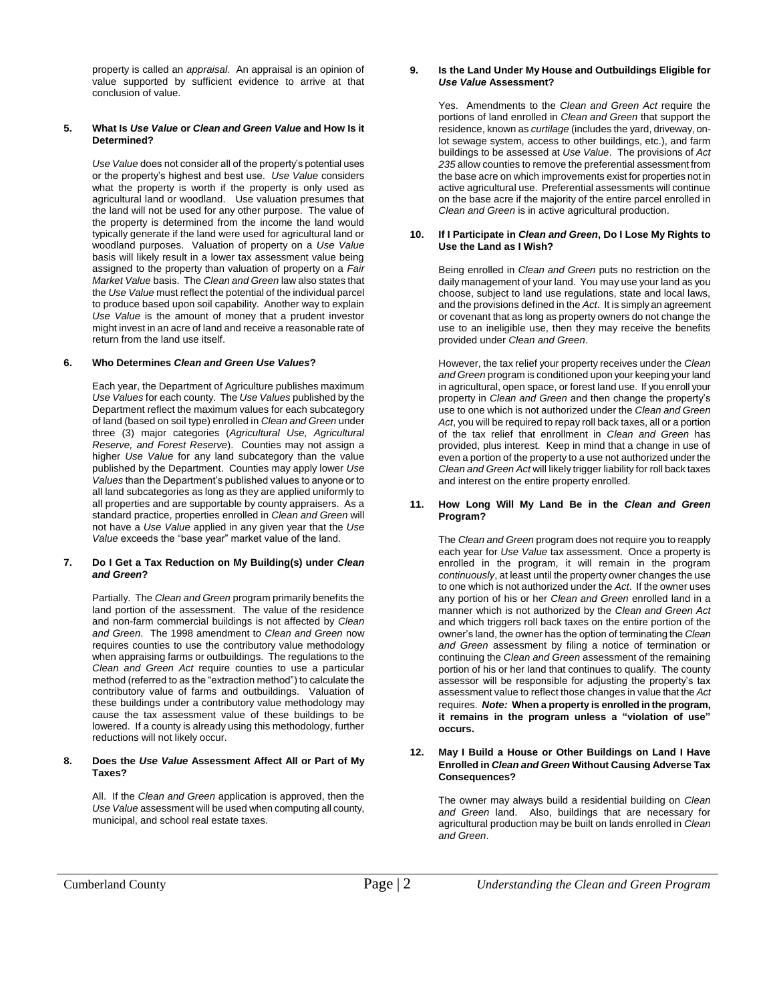property is called an *appraisal*. An appraisal is an opinion of value supported by sufficient evidence to arrive at that conclusion of value.

#### **5. What Is** *Use Value* **or** *Clean and Green Value* **and How Is it Determined?**

*Use Value* does not consider all of the property's potential uses or the property's highest and best use. *Use Value* considers what the property is worth if the property is only used as agricultural land or woodland. Use valuation presumes that the land will not be used for any other purpose. The value of the property is determined from the income the land would typically generate if the land were used for agricultural land or woodland purposes. Valuation of property on a *Use Value* basis will likely result in a lower tax assessment value being assigned to the property than valuation of property on a *Fair Market Value* basis. The *Clean and Green* law also states that the *Use Value* must reflect the potential of the individual parcel to produce based upon soil capability. Another way to explain *Use Value* is the amount of money that a prudent investor might invest in an acre of land and receive a reasonable rate of return from the land use itself.

#### **6. Who Determines** *Clean and Green Use Values***?**

Each year, the Department of Agriculture publishes maximum *Use Values* for each county. The *Use Values* published by the Department reflect the maximum values for each subcategory of land (based on soil type) enrolled in *Clean and Green* under three (3) major categories (*Agricultural Use, Agricultural Reserve, and Forest Reserve*). Counties may not assign a higher *Use Value* for any land subcategory than the value published by the Department. Counties may apply lower *Use Values* than the Department's published values to anyone or to all land subcategories as long as they are applied uniformly to all properties and are supportable by county appraisers. As a standard practice, properties enrolled in *Clean and Green* will not have a *Use Value* applied in any given year that the *Use Value* exceeds the "base year" market value of the land.

#### **7. Do I Get a Tax Reduction on My Building(s) under** *Clean and Green***?**

Partially. The *Clean and Green* program primarily benefits the land portion of the assessment. The value of the residence and non-farm commercial buildings is not affected by *Clean and Green*. The 1998 amendment to *Clean and Green* now requires counties to use the contributory value methodology when appraising farms or outbuildings. The regulations to the *Clean and Green Act* require counties to use a particular method (referred to as the "extraction method") to calculate the contributory value of farms and outbuildings. Valuation of these buildings under a contributory value methodology may cause the tax assessment value of these buildings to be lowered. If a county is already using this methodology, further reductions will not likely occur.

#### **8. Does the** *Use Value* **Assessment Affect All or Part of My Taxes?**

All. If the *Clean and Green* application is approved, then the *Use Value* assessment will be used when computing all county, municipal, and school real estate taxes.

#### **9. Is the Land Under My House and Outbuildings Eligible for** *Use Value* **Assessment?**

Yes. Amendments to the *Clean and Green Act* require the portions of land enrolled in *Clean and Green* that support the residence, known as *curtilage* (includes the yard, driveway, onlot sewage system, access to other buildings, etc.), and farm buildings to be assessed at *Use Value*. The provisions of *Act 235* allow counties to remove the preferential assessment from the base acre on which improvements exist for properties not in active agricultural use. Preferential assessments will continue on the base acre if the majority of the entire parcel enrolled in *Clean and Green* is in active agricultural production.

#### **10. If I Participate in** *Clean and Green***, Do I Lose My Rights to Use the Land as I Wish?**

Being enrolled in *Clean and Green* puts no restriction on the daily management of your land. You may use your land as you choose, subject to land use regulations, state and local laws, and the provisions defined in the *Act*. It is simply an agreement or covenant that as long as property owners do not change the use to an ineligible use, then they may receive the benefits provided under *Clean and Green*.

However, the tax relief your property receives under the *Clean and Green* program is conditioned upon your keeping your land in agricultural, open space, or forest land use. If you enroll your property in *Clean and Green* and then change the property's use to one which is not authorized under the *Clean and Green Act*, you will be required to repay roll back taxes, all or a portion of the tax relief that enrollment in *Clean and Green* has provided, plus interest. Keep in mind that a change in use of even a portion of the property to a use not authorized under the *Clean and Green Act* will likely trigger liability for roll back taxes and interest on the entire property enrolled.

#### **11. How Long Will My Land Be in the** *Clean and Green* **Program?**

The *Clean and Green* program does not require you to reapply each year for *Use Value* tax assessment. Once a property is enrolled in the program, it will remain in the program *continuously*, at least until the property owner changes the use to one which is not authorized under the *Act*. If the owner uses any portion of his or her *Clean and Green* enrolled land in a manner which is not authorized by the *Clean and Green Act* and which triggers roll back taxes on the entire portion of the owner's land, the owner has the option of terminating the *Clean and Green* assessment by filing a notice of termination or continuing the *Clean and Green* assessment of the remaining portion of his or her land that continues to qualify. The county assessor will be responsible for adjusting the property's tax assessment value to reflect those changes in value that the *Act* requires. *Note:* **When a property is enrolled in the program, it remains in the program unless a "violation of use" occurs.** 

#### **12. May I Build a House or Other Buildings on Land I Have Enrolled in** *Clean and Green* **Without Causing Adverse Tax Consequences?**

The owner may always build a residential building on *Clean and Green* land. Also, buildings that are necessary for agricultural production may be built on lands enrolled in *Clean and Green*.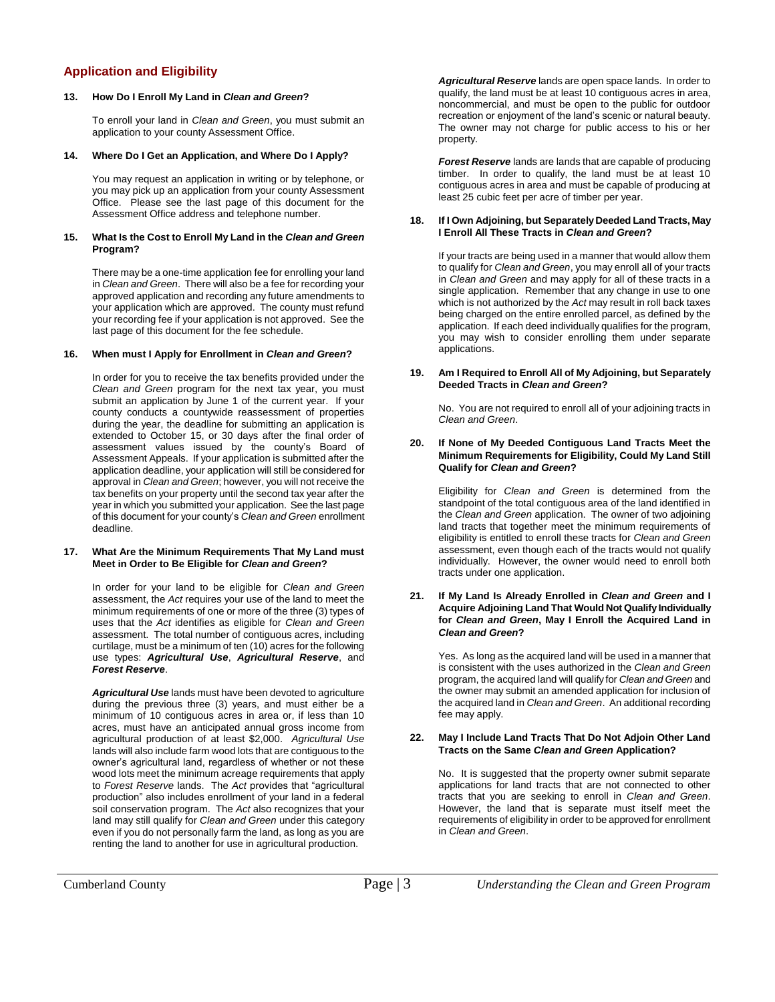# **Application and Eligibility**

#### **13. How Do I Enroll My Land in** *Clean and Green***?**

To enroll your land in *Clean and Green*, you must submit an application to your county Assessment Office.

#### **14. Where Do I Get an Application, and Where Do I Apply?**

You may request an application in writing or by telephone, or you may pick up an application from your county Assessment Office. Please see the last page of this document for the Assessment Office address and telephone number.

#### **15. What Is the Cost to Enroll My Land in the** *Clean and Green* **Program?**

There may be a one-time application fee for enrolling your land in *Clean and Green*. There will also be a fee for recording your approved application and recording any future amendments to your application which are approved. The county must refund your recording fee if your application is not approved. See the last page of this document for the fee schedule.

#### **16. When must I Apply for Enrollment in** *Clean and Green***?**

In order for you to receive the tax benefits provided under the *Clean and Green* program for the next tax year, you must submit an application by June 1 of the current year. If your county conducts a countywide reassessment of properties during the year, the deadline for submitting an application is extended to October 15, or 30 days after the final order of assessment values issued by the county's Board of Assessment Appeals. If your application is submitted after the application deadline, your application will still be considered for approval in *Clean and Green*; however, you will not receive the tax benefits on your property until the second tax year after the year in which you submitted your application. See the last page of this document for your county's *Clean and Green* enrollment deadline.

#### **17. What Are the Minimum Requirements That My Land must Meet in Order to Be Eligible for** *Clean and Green***?**

In order for your land to be eligible for *Clean and Green* assessment, the *Act* requires your use of the land to meet the minimum requirements of one or more of the three (3) types of uses that the *Act* identifies as eligible for *Clean and Green* assessment. The total number of contiguous acres, including curtilage, must be a minimum of ten (10) acres for the following use types: *Agricultural Use*, *Agricultural Reserve*, and *Forest Reserve*.

*Agricultural Use* lands must have been devoted to agriculture during the previous three (3) years, and must either be a minimum of 10 contiguous acres in area or, if less than 10 acres, must have an anticipated annual gross income from agricultural production of at least \$2,000. *Agricultural Use* lands will also include farm wood lots that are contiguous to the owner's agricultural land, regardless of whether or not these wood lots meet the minimum acreage requirements that apply to *Forest Reserve* lands. The *Act* provides that "agricultural production" also includes enrollment of your land in a federal soil conservation program. The *Act* also recognizes that your land may still qualify for *Clean and Green* under this category even if you do not personally farm the land, as long as you are renting the land to another for use in agricultural production.

*Agricultural Reserve* lands are open space lands. In order to qualify, the land must be at least 10 contiguous acres in area, noncommercial, and must be open to the public for outdoor recreation or enjoyment of the land's scenic or natural beauty. The owner may not charge for public access to his or her property.

*Forest Reserve* lands are lands that are capable of producing timber. In order to qualify, the land must be at least 10 contiguous acres in area and must be capable of producing at least 25 cubic feet per acre of timber per year.

#### **18. If I Own Adjoining, but Separately Deeded Land Tracts, May I Enroll All These Tracts in** *Clean and Green***?**

If your tracts are being used in a manner that would allow them to qualify for *Clean and Green*, you may enroll all of your tracts in *Clean and Green* and may apply for all of these tracts in a single application. Remember that any change in use to one which is not authorized by the *Act* may result in roll back taxes being charged on the entire enrolled parcel, as defined by the application. If each deed individually qualifies for the program, you may wish to consider enrolling them under separate applications.

#### **19. Am I Required to Enroll All of My Adjoining, but Separately Deeded Tracts in** *Clean and Green***?**

No. You are not required to enroll all of your adjoining tracts in *Clean and Green*.

#### **20. If None of My Deeded Contiguous Land Tracts Meet the Minimum Requirements for Eligibility, Could My Land Still Qualify for** *Clean and Green***?**

Eligibility for *Clean and Green* is determined from the standpoint of the total contiguous area of the land identified in the *Clean and Green* application. The owner of two adjoining land tracts that together meet the minimum requirements of eligibility is entitled to enroll these tracts for *Clean and Green* assessment, even though each of the tracts would not qualify individually. However, the owner would need to enroll both tracts under one application.

#### **21. If My Land Is Already Enrolled in** *Clean and Green* **and I Acquire Adjoining Land That Would Not Qualify Individually for** *Clean and Green***, May I Enroll the Acquired Land in** *Clean and Green***?**

Yes. As long as the acquired land will be used in a manner that is consistent with the uses authorized in the *Clean and Green* program, the acquired land will qualify for *Clean and Green* and the owner may submit an amended application for inclusion of the acquired land in *Clean and Green*. An additional recording fee may apply.

#### **22. May I Include Land Tracts That Do Not Adjoin Other Land Tracts on the Same** *Clean and Green* **Application?**

No. It is suggested that the property owner submit separate applications for land tracts that are not connected to other tracts that you are seeking to enroll in *Clean and Green*. However, the land that is separate must itself meet the requirements of eligibility in order to be approved for enrollment in *Clean and Green*.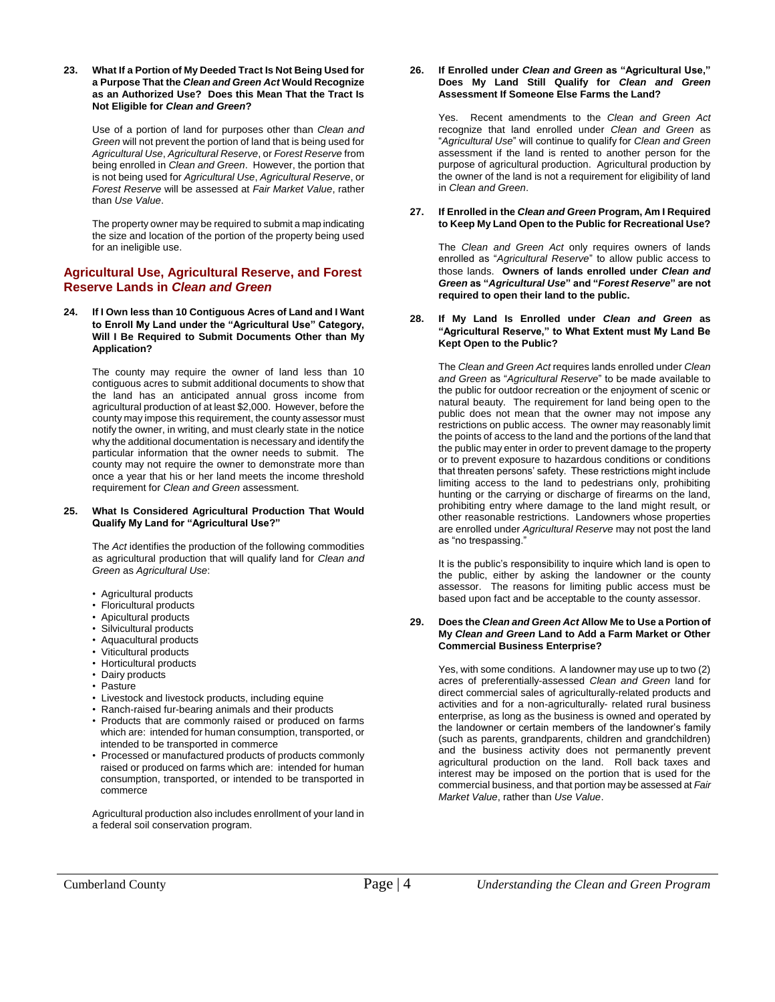**23. What If a Portion of My Deeded Tract Is Not Being Used for a Purpose That the** *Clean and Green Act* **Would Recognize as an Authorized Use? Does this Mean That the Tract Is Not Eligible for** *Clean and Green***?**

Use of a portion of land for purposes other than *Clean and Green* will not prevent the portion of land that is being used for *Agricultural Use*, *Agricultural Reserve*, or *Forest Reserve* from being enrolled in *Clean and Green*. However, the portion that is not being used for *Agricultural Use*, *Agricultural Reserve*, or *Forest Reserve* will be assessed at *Fair Market Value*, rather than *Use Value*.

The property owner may be required to submit a map indicating the size and location of the portion of the property being used for an ineligible use.

### **Agricultural Use, Agricultural Reserve, and Forest Reserve Lands in** *Clean and Green*

**24. If I Own less than 10 Contiguous Acres of Land and I Want to Enroll My Land under the "Agricultural Use" Category, Will I Be Required to Submit Documents Other than My Application?**

The county may require the owner of land less than 10 contiguous acres to submit additional documents to show that the land has an anticipated annual gross income from agricultural production of at least \$2,000. However, before the county may impose this requirement, the county assessor must notify the owner, in writing, and must clearly state in the notice why the additional documentation is necessary and identify the particular information that the owner needs to submit. The county may not require the owner to demonstrate more than once a year that his or her land meets the income threshold requirement for *Clean and Green* assessment.

#### **25. What Is Considered Agricultural Production That Would Qualify My Land for "Agricultural Use?"**

The *Act* identifies the production of the following commodities as agricultural production that will qualify land for *Clean and Green* as *Agricultural Use*:

- Agricultural products
- Floricultural products
- Apicultural products
- Silvicultural products
- Aquacultural products
- Viticultural products
- Horticultural products
- Dairy products
- Pasture
- Livestock and livestock products, including equine
- Ranch-raised fur-bearing animals and their products
- Products that are commonly raised or produced on farms which are: intended for human consumption, transported, or intended to be transported in commerce
- Processed or manufactured products of products commonly raised or produced on farms which are: intended for human consumption, transported, or intended to be transported in commerce

Agricultural production also includes enrollment of your land in a federal soil conservation program.

#### **26. If Enrolled under** *Clean and Green* **as "Agricultural Use," Does My Land Still Qualify for** *Clean and Green* **Assessment If Someone Else Farms the Land?**

Yes. Recent amendments to the *Clean and Green Act* recognize that land enrolled under *Clean and Green* as "*Agricultural Use*" will continue to qualify for *Clean and Green* assessment if the land is rented to another person for the purpose of agricultural production. Agricultural production by the owner of the land is not a requirement for eligibility of land in *Clean and Green*.

#### **27. If Enrolled in the** *Clean and Green* **Program, Am I Required to Keep My Land Open to the Public for Recreational Use?**

The *Clean and Green Act* only requires owners of lands enrolled as "*Agricultural Reserve*" to allow public access to those lands. **Owners of lands enrolled under** *Clean and Green* **as "***Agricultural Use***" and "***Forest Reserve***" are not required to open their land to the public.**

#### **28. If My Land Is Enrolled under** *Clean and Green* **as "Agricultural Reserve," to What Extent must My Land Be Kept Open to the Public?**

The *Clean and Green Act* requires lands enrolled under *Clean and Green* as "*Agricultural Reserve*" to be made available to the public for outdoor recreation or the enjoyment of scenic or natural beauty. The requirement for land being open to the public does not mean that the owner may not impose any restrictions on public access. The owner may reasonably limit the points of access to the land and the portions of the land that the public may enter in order to prevent damage to the property or to prevent exposure to hazardous conditions or conditions that threaten persons' safety. These restrictions might include limiting access to the land to pedestrians only, prohibiting hunting or the carrying or discharge of firearms on the land, prohibiting entry where damage to the land might result, or other reasonable restrictions. Landowners whose properties are enrolled under *Agricultural Reserve* may not post the land as "no trespassing."

It is the public's responsibility to inquire which land is open to the public, either by asking the landowner or the county assessor. The reasons for limiting public access must be based upon fact and be acceptable to the county assessor.

#### **29. Does the** *Clean and Green Act* **Allow Me to Use a Portion of My** *Clean and Green* **Land to Add a Farm Market or Other Commercial Business Enterprise?**

Yes, with some conditions. A landowner may use up to two (2) acres of preferentially-assessed *Clean and Green* land for direct commercial sales of agriculturally-related products and activities and for a non-agriculturally- related rural business enterprise, as long as the business is owned and operated by the landowner or certain members of the landowner's family (such as parents, grandparents, children and grandchildren) and the business activity does not permanently prevent agricultural production on the land. Roll back taxes and interest may be imposed on the portion that is used for the commercial business, and that portion may be assessed at *Fair Market Value*, rather than *Use Value*.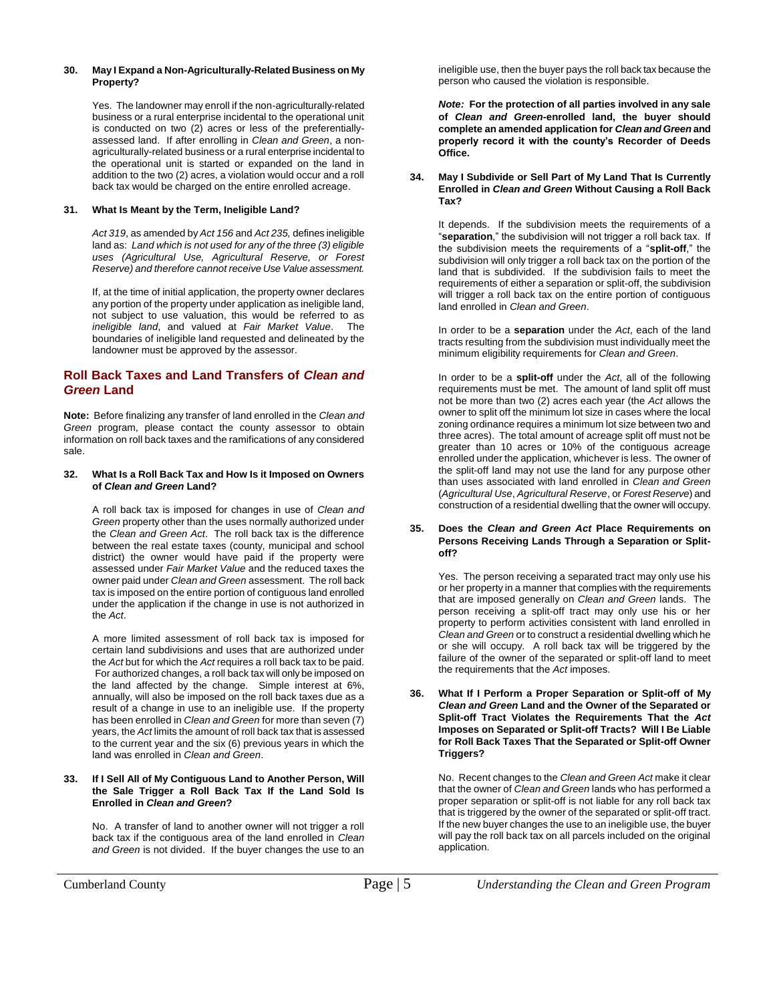#### **30. May I Expand a Non-Agriculturally-Related Business on My Property?**

Yes. The landowner may enroll if the non-agriculturally-related business or a rural enterprise incidental to the operational unit is conducted on two (2) acres or less of the preferentiallyassessed land. If after enrolling in *Clean and Green*, a nonagriculturally-related business or a rural enterprise incidental to the operational unit is started or expanded on the land in addition to the two (2) acres, a violation would occur and a roll back tax would be charged on the entire enrolled acreage.

#### **31. What Is Meant by the Term, Ineligible Land?**

*Act 319*, as amended by *Act 156* and *Act 235,* defines ineligible land as: *Land which is not used for any of the three (3) eligible uses (Agricultural Use, Agricultural Reserve, or Forest Reserve) and therefore cannot receive Use Value assessment.*

If, at the time of initial application, the property owner declares any portion of the property under application as ineligible land, not subject to use valuation, this would be referred to as *ineligible land*, and valued at *Fair Market Value*. The boundaries of ineligible land requested and delineated by the landowner must be approved by the assessor.

# **Roll Back Taxes and Land Transfers of** *Clean and Green* **Land**

**Note:** Before finalizing any transfer of land enrolled in the *Clean and Green* program, please contact the county assessor to obtain information on roll back taxes and the ramifications of any considered sale.

#### **32. What Is a Roll Back Tax and How Is it Imposed on Owners of** *Clean and Green* **Land?**

A roll back tax is imposed for changes in use of *Clean and Green* property other than the uses normally authorized under the *Clean and Green Act*. The roll back tax is the difference between the real estate taxes (county, municipal and school district) the owner would have paid if the property were assessed under *Fair Market Value* and the reduced taxes the owner paid under *Clean and Green* assessment. The roll back tax is imposed on the entire portion of contiguous land enrolled under the application if the change in use is not authorized in the *Act*.

A more limited assessment of roll back tax is imposed for certain land subdivisions and uses that are authorized under the *Act* but for which the *Act* requires a roll back tax to be paid. For authorized changes, a roll back tax will only be imposed on the land affected by the change. Simple interest at 6%, annually, will also be imposed on the roll back taxes due as a result of a change in use to an ineligible use. If the property has been enrolled in *Clean and Green* for more than seven (7) years, the *Act* limits the amount of roll back tax that is assessed to the current year and the six (6) previous years in which the land was enrolled in *Clean and Green*.

#### **33. If I Sell All of My Contiguous Land to Another Person, Will the Sale Trigger a Roll Back Tax If the Land Sold Is Enrolled in** *Clean and Green***?**

No. A transfer of land to another owner will not trigger a roll back tax if the contiguous area of the land enrolled in *Clean and Green* is not divided. If the buyer changes the use to an ineligible use, then the buyer pays the roll back tax because the person who caused the violation is responsible.

*Note:* **For the protection of all parties involved in any sale of** *Clean and Green***-enrolled land, the buyer should complete an amended application for** *Clean and Green* **and properly record it with the county's Recorder of Deeds Office.**

**34. May I Subdivide or Sell Part of My Land That Is Currently Enrolled in** *Clean and Green* **Without Causing a Roll Back Tax?**

It depends. If the subdivision meets the requirements of a "**separation**," the subdivision will not trigger a roll back tax. If the subdivision meets the requirements of a "**split-off**," the subdivision will only trigger a roll back tax on the portion of the land that is subdivided. If the subdivision fails to meet the requirements of either a separation or split-off, the subdivision will trigger a roll back tax on the entire portion of contiguous land enrolled in *Clean and Green*.

In order to be a **separation** under the *Act*, each of the land tracts resulting from the subdivision must individually meet the minimum eligibility requirements for *Clean and Green*.

In order to be a **split-off** under the *Act*, all of the following requirements must be met. The amount of land split off must not be more than two (2) acres each year (the *Act* allows the owner to split off the minimum lot size in cases where the local zoning ordinance requires a minimum lot size between two and three acres). The total amount of acreage split off must not be greater than 10 acres or 10% of the contiguous acreage enrolled under the application, whichever is less. The owner of the split-off land may not use the land for any purpose other than uses associated with land enrolled in *Clean and Green* (*Agricultural Use*, *Agricultural Reserve*, or *Forest Reserve*) and construction of a residential dwelling that the owner will occupy.

#### **35. Does the** *Clean and Green Act* **Place Requirements on Persons Receiving Lands Through a Separation or Splitoff?**

Yes. The person receiving a separated tract may only use his or her property in a manner that complies with the requirements that are imposed generally on *Clean and Green* lands. The person receiving a split-off tract may only use his or her property to perform activities consistent with land enrolled in *Clean and Green* or to construct a residential dwelling which he or she will occupy. A roll back tax will be triggered by the failure of the owner of the separated or split-off land to meet the requirements that the *Act* imposes.

**36. What If I Perform a Proper Separation or Split-off of My**  *Clean and Green* **Land and the Owner of the Separated or Split-off Tract Violates the Requirements That the** *Act* **Imposes on Separated or Split-off Tracts? Will I Be Liable for Roll Back Taxes That the Separated or Split-off Owner Triggers?**

No. Recent changes to the *Clean and Green Act* make it clear that the owner of *Clean and Green* lands who has performed a proper separation or split-off is not liable for any roll back tax that is triggered by the owner of the separated or split-off tract. If the new buyer changes the use to an ineligible use, the buyer will pay the roll back tax on all parcels included on the original application.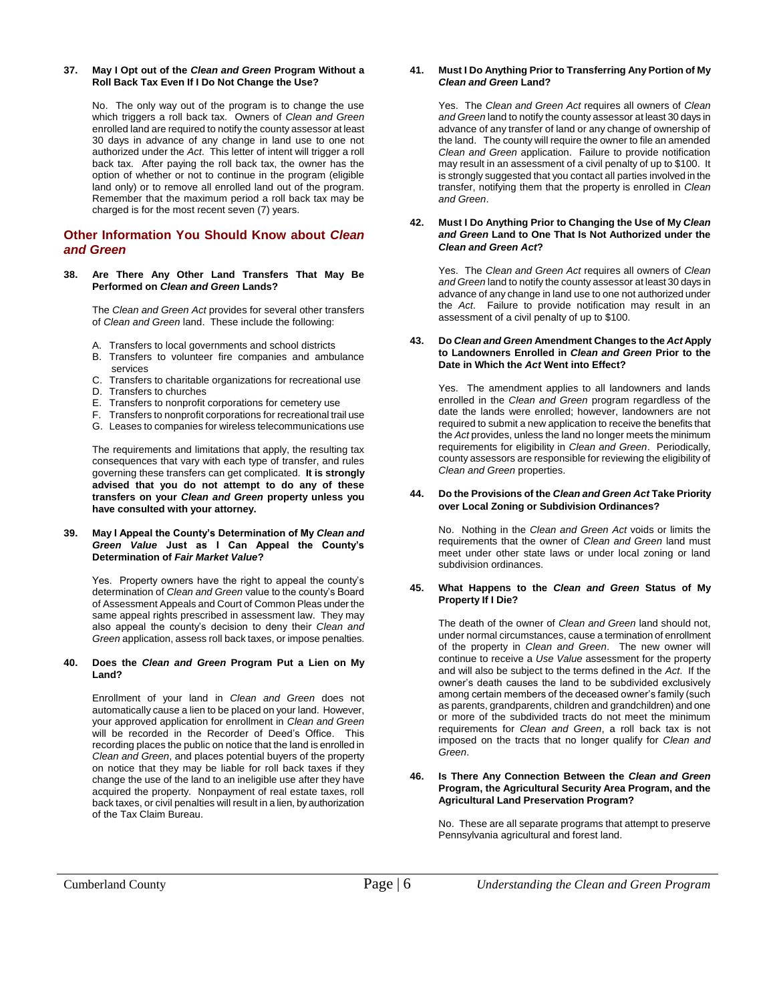#### **37. May I Opt out of the** *Clean and Green* **Program Without a Roll Back Tax Even If I Do Not Change the Use?**

No. The only way out of the program is to change the use which triggers a roll back tax. Owners of *Clean and Green* enrolled land are required to notify the county assessor at least 30 days in advance of any change in land use to one not authorized under the *Act*. This letter of intent will trigger a roll back tax. After paying the roll back tax, the owner has the option of whether or not to continue in the program (eligible land only) or to remove all enrolled land out of the program. Remember that the maximum period a roll back tax may be charged is for the most recent seven (7) years.

# **Other Information You Should Know about** *Clean and Green*

#### **38. Are There Any Other Land Transfers That May Be Performed on** *Clean and Green* **Lands?**

The *Clean and Green Act* provides for several other transfers of *Clean and Green* land. These include the following:

- A. Transfers to local governments and school districts
- B. Transfers to volunteer fire companies and ambulance services
- C. Transfers to charitable organizations for recreational use
- D. Transfers to churches
- E. Transfers to nonprofit corporations for cemetery use
- F. Transfers to nonprofit corporations for recreational trail use
- G. Leases to companies for wireless telecommunications use

The requirements and limitations that apply, the resulting tax consequences that vary with each type of transfer, and rules governing these transfers can get complicated. **It is strongly advised that you do not attempt to do any of these transfers on your** *Clean and Green* **property unless you have consulted with your attorney.**

#### **39. May I Appeal the County's Determination of My** *Clean and Green Value* **Just as I Can Appeal the County's Determination of** *Fair Market Value***?**

Yes. Property owners have the right to appeal the county's determination of *Clean and Green* value to the county's Board of Assessment Appeals and Court of Common Pleas under the same appeal rights prescribed in assessment law. They may also appeal the county's decision to deny their *Clean and Green* application, assess roll back taxes, or impose penalties.

#### **40. Does the** *Clean and Green* **Program Put a Lien on My Land?**

Enrollment of your land in *Clean and Green* does not automatically cause a lien to be placed on your land. However, your approved application for enrollment in *Clean and Green* will be recorded in the Recorder of Deed's Office. This recording places the public on notice that the land is enrolled in *Clean and Green*, and places potential buyers of the property on notice that they may be liable for roll back taxes if they change the use of the land to an ineligible use after they have acquired the property. Nonpayment of real estate taxes, roll back taxes, or civil penalties will result in a lien, by authorization of the Tax Claim Bureau.

#### **41. Must I Do Anything Prior to Transferring Any Portion of My**  *Clean and Green* **Land?**

Yes. The *Clean and Green Act* requires all owners of *Clean and Green* land to notify the county assessor at least 30 days in advance of any transfer of land or any change of ownership of the land. The county will require the owner to file an amended *Clean and Green* application. Failure to provide notification may result in an assessment of a civil penalty of up to \$100. It is strongly suggested that you contact all parties involved in the transfer, notifying them that the property is enrolled in *Clean and Green*.

#### **42. Must I Do Anything Prior to Changing the Use of My** *Clean and Green* **Land to One That Is Not Authorized under the** *Clean and Green Act***?**

Yes. The *Clean and Green Act* requires all owners of *Clean and Green* land to notify the county assessor at least 30 days in advance of any change in land use to one not authorized under the *Act*. Failure to provide notification may result in an assessment of a civil penalty of up to \$100.

#### **43. Do** *Clean and Green* **Amendment Changes to the** *Act* **Apply to Landowners Enrolled in** *Clean and Green* **Prior to the Date in Which the** *Act* **Went into Effect?**

Yes. The amendment applies to all landowners and lands enrolled in the *Clean and Green* program regardless of the date the lands were enrolled; however, landowners are not required to submit a new application to receive the benefits that the *Act* provides, unless the land no longer meets the minimum requirements for eligibility in *Clean and Green*. Periodically, county assessors are responsible for reviewing the eligibility of *Clean and Green* properties.

#### **44. Do the Provisions of the** *Clean and Green Act* **Take Priority over Local Zoning or Subdivision Ordinances?**

No. Nothing in the *Clean and Green Act* voids or limits the requirements that the owner of *Clean and Green* land must meet under other state laws or under local zoning or land subdivision ordinances.

#### **45. What Happens to the** *Clean and Green* **Status of My Property If I Die?**

The death of the owner of *Clean and Green* land should not, under normal circumstances, cause a termination of enrollment of the property in *Clean and Green*. The new owner will continue to receive a *Use Value* assessment for the property and will also be subject to the terms defined in the *Act*. If the owner's death causes the land to be subdivided exclusively among certain members of the deceased owner's family (such as parents, grandparents, children and grandchildren) and one or more of the subdivided tracts do not meet the minimum requirements for *Clean and Green*, a roll back tax is not imposed on the tracts that no longer qualify for *Clean and Green*.

#### **46. Is There Any Connection Between the** *Clean and Green* **Program, the Agricultural Security Area Program, and the Agricultural Land Preservation Program?**

No. These are all separate programs that attempt to preserve Pennsylvania agricultural and forest land.